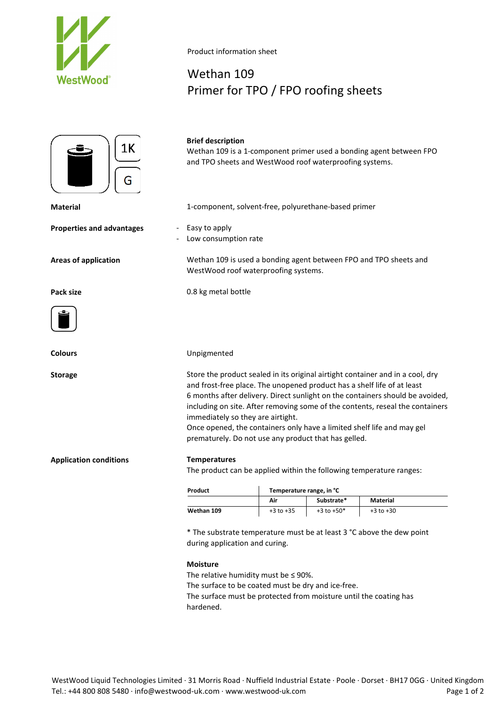



**Properties and advantages** - Easy to apply



#### **Application conditions Temperatures**

The product can be applied within the following temperature ranges:

| Product    | Temperature range, in °C |                |               |
|------------|--------------------------|----------------|---------------|
|            | Air                      | Substrate*     | Material      |
| Wethan 109 | $+3$ to $+35$            | $+3$ to $+50*$ | $+3$ to $+30$ |

\* The substrate temperature must be at least 3 °C above the dew point during application and curing.

### **Moisture**

The relative humidity must be  $\leq$  90%.

The surface to be coated must be dry and ice-free.

The surface must be protected from moisture until the coating has hardened.

Product information sheet

## Wethan 109 Primer for TPO / FPO roofing sheets

**Brief description** Wethan 109 is a 1-component primer used a bonding agent between FPO and TPO sheets and WestWood roof waterproofing systems.

**Material** 1-component, solvent-free, polyurethane-based primer

- 
- Low consumption rate

**Areas of application** Wethan 109 is used a bonding agent between FPO and TPO sheets and WestWood roof waterproofing systems.

**Pack size** 0.8 kg metal bottle

**Colours** Unpigmented

**Storage** Store the product sealed in its original airtight container and in a cool, dry and frost-free place. The unopened product has a shelf life of at least 6 months after delivery. Direct sunlight on the containers should be avoided, including on site. After removing some of the contents, reseal the containers immediately so they are airtight.

> Once opened, the containers only have a limited shelf life and may gel prematurely. Do not use any product that has gelled.